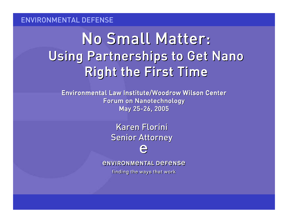# No Small Matter: Using Partnerships to Get Nano Right the First Time

Environmental Law Institute/Woodrow Wilson Center Forum on Nanotechnology May 25-26, 2005

> Karen Florini Senior Attorney

*<u>ENVIRONMENTAL DEFENSE</u>* 

finding the ways that work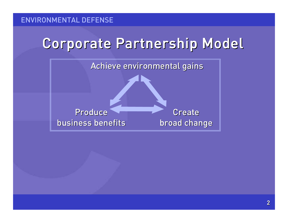# Corporate Partnership Model

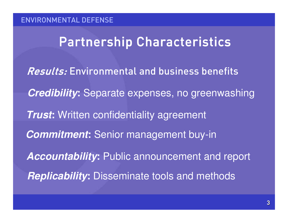### Partnership Characteristics

Results: Environmental and business benefits *Commitment***:** Senior management buy-in **Trust:** Written confidentiality agreement *Credibility***:** Separate expenses, no greenwashing *Accountability***:** Public announcement and report *Replicability***:** Disseminate tools and methods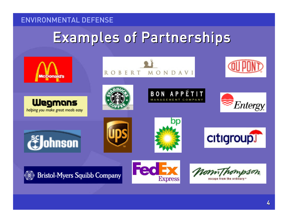# Examples of Partnerships

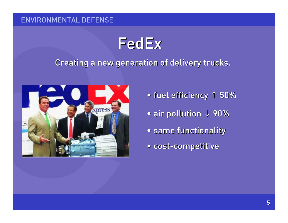# FedEx

### Creating <sup>a</sup> new generation of delivery trucks.



- fuel efficiency 1 50%
- air pollution + 90%
- same functionality
- cost-competitive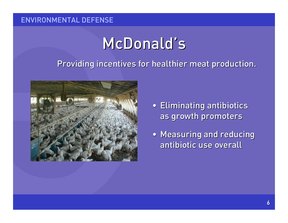# McDonald's

### Providing incentives for healthier meat production.



- Eliminating antibiotics as growth promoters
- Measuring and reducing antibiotic use overall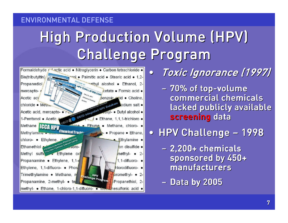# High Production Volume (HPV) Challenge Program



 $\bullet$ Toxic Ignorance (1997)

– 70% of top-volume commercial chemicals lacked publicly available screening data

• HPV Challenge – 1998

- $\sim$  2,200+ chemicals sponsored by 450+ manufacturers
- Data by 2005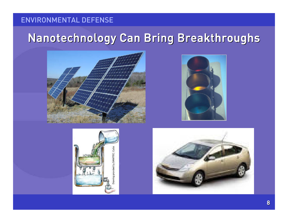### Nanotechnology Can Bring Breakthroughs







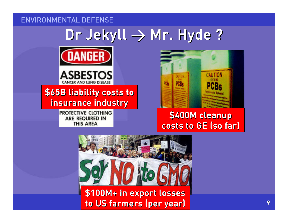# Dr Jekyll → Mr. Hyde ?





### \$65B liability costs to insurance industry

PROTECTIVE CLOTHING **ARE REQUIRED IN THIS AREA** 



### \$400M cleanup costs to GE (so far)

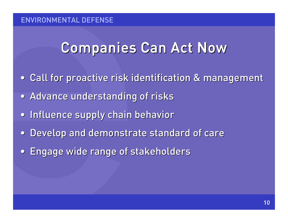# Companies Can Act Now

- $\bullet$ Call for proactive risk identification & management
- Advance understanding of risks
- •**• Influence supply chain behavior**
- $\bullet$ Develop and demonstrate standard of care
- $\bullet$ Engage wide range of stakeholders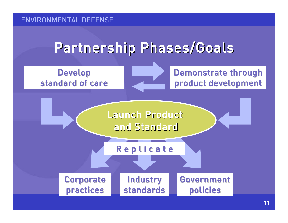# Partnership Phases/Goals

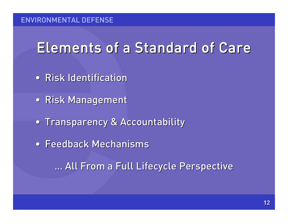# Elements of a Standard of Care

- Risk Identification
- Risk Management
- Transparency & Accountability
- Feedback Mechanisms

… All From <sup>a</sup> Full Lifecycle Perspective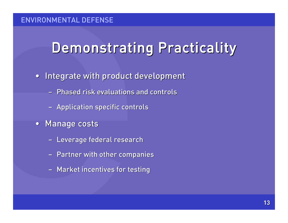# Demonstrating Practicality

- Integrate with product development
	- Phased risk evaluations and controls
	- Application specific controls
- Manage costs
	- Leverage federal research
	- Partner with other companies
	- Market incentives for testing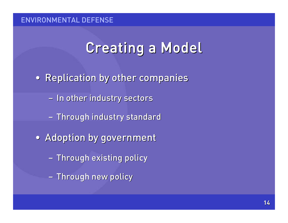# Creating <sup>a</sup> Model

- Replication by other companies
	- In other industry sectors
	- $\sim$ - Through industry standard
- Adoption by government
	- $\sim$ – Through existing policy
	- $\sim$ – Through new policy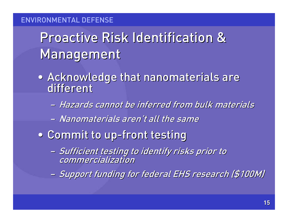# Proactive Risk Identification &Management

- Acknowledge that nanomaterials are different
	- Hazards cannot be inferred from bulk materials
	- Nanomaterials aren't all the same
- Commit to up-front testing
	- Sufficient testing to identify risks prior to commercialization
	- $\mathcal{L}_{\mathcal{A}}$ Support funding for federal EHS research (\$100M)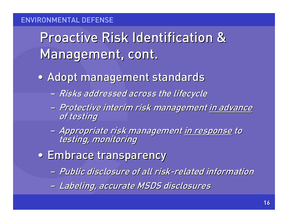Proactive Risk Identification &Management, cont.

- Adopt management standards
	- Risks addressed across the lifecycle
	- Protective interim risk management <u>in advance</u> of testing
	- $\mathcal{L}_{\mathcal{A}}$ – Appropriate risk management <u>in response</u> to testing, monitoring
- Embrace transparency
	- Public disclosure of all risk-related information
	- $\mathcal{L}_{\mathcal{A}}$ Labeling, accurate MSDS disclosures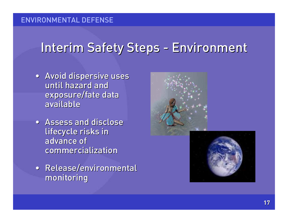## Interim Safety Steps - Environment

- Avoid dispersive uses until hazard and exposure/fate data available
- Assess and disclose lifecycle risks in advance of commercialization
- Release/environmental monitoring



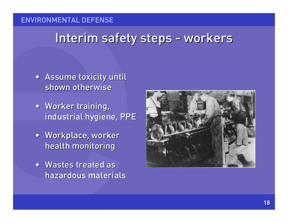### Interim safety steps - workers

- Assume toxicity until shown otherwise
- Worker training, industrial hygiene, PPE
- Workplace, worker health monitoring
- Wastes treated as hazardous materials

![](_page_17_Picture_6.jpeg)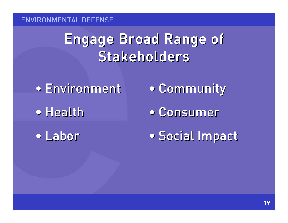# Engage Broad Range of Stakeholders

- Environment
- Health
- Labor
- Community
- Consumer
- Social Impact